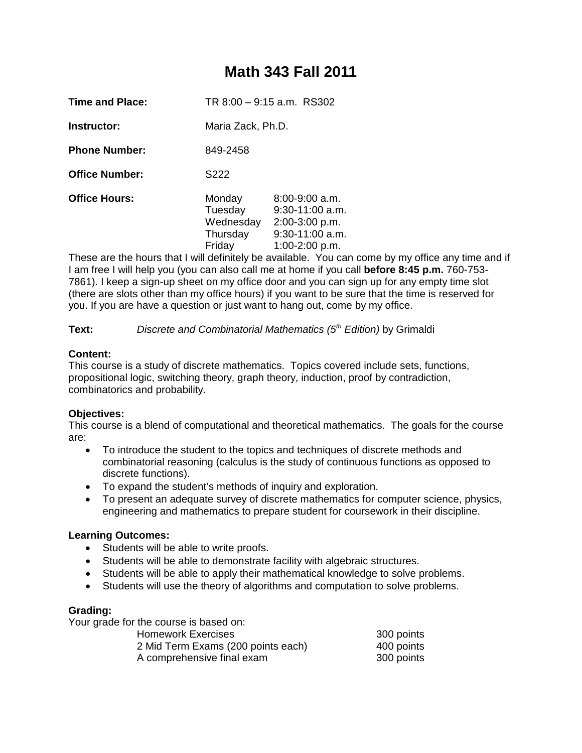# **Math 343 Fall 2011**

| <b>Time and Place:</b> | TR 8:00 - 9:15 a.m. RS302 |  |
|------------------------|---------------------------|--|
|------------------------|---------------------------|--|

**Instructor:** Maria Zack, Ph.D.

**Phone Number:** 849-2458

**Office Number:** S222

**Office Hours:** Monday 8:00-9:00 a.m.<br>Tuesday 9:30-11:00 a.m  $9:30-11:00$  a.m. Wednesday 2:00-3:00 p.m. Thursday 9:30-11:00 a.m. Friday 1:00-2:00 p.m.

These are the hours that I will definitely be available. You can come by my office any time and if I am free I will help you (you can also call me at home if you call **before 8:45 p.m.** 760-753- 7861). I keep a sign-up sheet on my office door and you can sign up for any empty time slot (there are slots other than my office hours) if you want to be sure that the time is reserved for you. If you are have a question or just want to hang out, come by my office.

**Text:** *Discrete and Combinatorial Mathematics (5th Edition)* by Grimaldi

## **Content:**

This course is a study of discrete mathematics. Topics covered include sets, functions, propositional logic, switching theory, graph theory, induction, proof by contradiction, combinatorics and probability.

# **Objectives:**

This course is a blend of computational and theoretical mathematics. The goals for the course are:

- To introduce the student to the topics and techniques of discrete methods and combinatorial reasoning (calculus is the study of continuous functions as opposed to discrete functions).
- To expand the student's methods of inquiry and exploration.
- To present an adequate survey of discrete mathematics for computer science, physics, engineering and mathematics to prepare student for coursework in their discipline.

# **Learning Outcomes:**

- Students will be able to write proofs.
- Students will be able to demonstrate facility with algebraic structures.
- Students will be able to apply their mathematical knowledge to solve problems.
- Students will use the theory of algorithms and computation to solve problems.

# **Grading:**

Your grade for the course is based on:

| <b>Homework Exercises</b>          | 300 points |
|------------------------------------|------------|
| 2 Mid Term Exams (200 points each) | 400 points |
| A comprehensive final exam         | 300 points |
|                                    |            |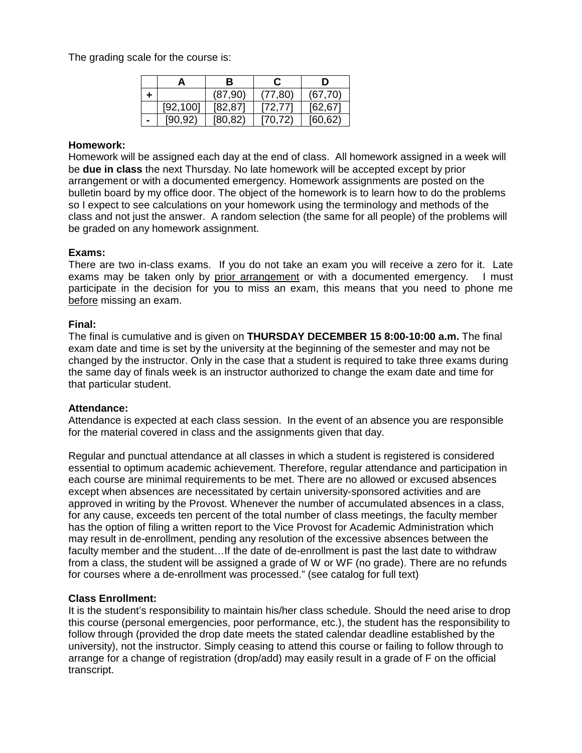The grading scale for the course is:

|           | в        |          | D        |
|-----------|----------|----------|----------|
|           | (87, 90) | (77,80)  | (67, 70) |
| [92, 100] | [82, 87] | [72, 77] | [62, 67] |
| [90.92]   | [80, 82] | [70,72)  | [60, 62] |

#### **Homework:**

Homework will be assigned each day at the end of class. All homework assigned in a week will be **due in class** the next Thursday. No late homework will be accepted except by prior arrangement or with a documented emergency. Homework assignments are posted on the bulletin board by my office door. The object of the homework is to learn how to do the problems so I expect to see calculations on your homework using the terminology and methods of the class and not just the answer. A random selection (the same for all people) of the problems will be graded on any homework assignment.

#### **Exams:**

There are two in-class exams. If you do not take an exam you will receive a zero for it. Late exams may be taken only by prior arrangement or with a documented emergency. I must participate in the decision for you to miss an exam, this means that you need to phone me before missing an exam.

#### **Final:**

The final is cumulative and is given on **THURSDAY DECEMBER 15 8:00-10:00 a.m.** The final exam date and time is set by the university at the beginning of the semester and may not be changed by the instructor. Only in the case that a student is required to take three exams during the same day of finals week is an instructor authorized to change the exam date and time for that particular student.

#### **Attendance:**

Attendance is expected at each class session. In the event of an absence you are responsible for the material covered in class and the assignments given that day.

Regular and punctual attendance at all classes in which a student is registered is considered essential to optimum academic achievement. Therefore, regular attendance and participation in each course are minimal requirements to be met. There are no allowed or excused absences except when absences are necessitated by certain university-sponsored activities and are approved in writing by the Provost. Whenever the number of accumulated absences in a class, for any cause, exceeds ten percent of the total number of class meetings, the faculty member has the option of filing a written report to the Vice Provost for Academic Administration which may result in de-enrollment, pending any resolution of the excessive absences between the faculty member and the student…If the date of de-enrollment is past the last date to withdraw from a class, the student will be assigned a grade of W or WF (no grade). There are no refunds for courses where a de-enrollment was processed." (see catalog for full text)

#### **Class Enrollment:**

It is the student's responsibility to maintain his/her class schedule. Should the need arise to drop this course (personal emergencies, poor performance, etc.), the student has the responsibility to follow through (provided the drop date meets the stated calendar deadline established by the university), not the instructor. Simply ceasing to attend this course or failing to follow through to arrange for a change of registration (drop/add) may easily result in a grade of F on the official transcript.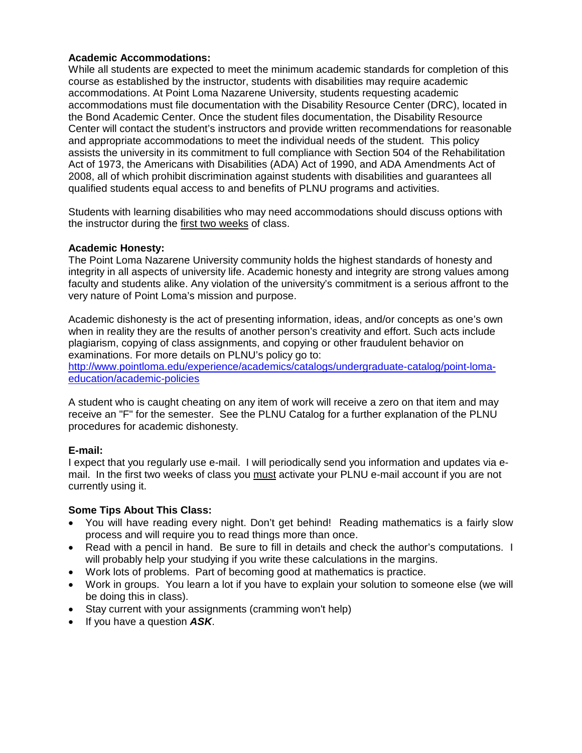## **Academic Accommodations:**

While all students are expected to meet the minimum academic standards for completion of this course as established by the instructor, students with disabilities may require academic accommodations. At Point Loma Nazarene University, students requesting academic accommodations must file documentation with the Disability Resource Center (DRC), located in the Bond Academic Center. Once the student files documentation, the Disability Resource Center will contact the student's instructors and provide written recommendations for reasonable and appropriate accommodations to meet the individual needs of the student. This policy assists the university in its commitment to full compliance with Section 504 of the Rehabilitation Act of 1973, the Americans with Disabilities (ADA) Act of 1990, and ADA Amendments Act of 2008, all of which prohibit discrimination against students with disabilities and guarantees all qualified students equal access to and benefits of PLNU programs and activities.

Students with learning disabilities who may need accommodations should discuss options with the instructor during the first two weeks of class.

## **Academic Honesty:**

The Point Loma Nazarene University community holds the highest standards of honesty and integrity in all aspects of university life. Academic honesty and integrity are strong values among faculty and students alike. Any violation of the university's commitment is a serious affront to the very nature of Point Loma's mission and purpose.

Academic dishonesty is the act of presenting information, ideas, and/or concepts as one's own when in reality they are the results of another person's creativity and effort. Such acts include plagiarism, copying of class assignments, and copying or other fraudulent behavior on examinations. For more details on PLNU's policy go to:

[http://www.pointloma.edu/experience/academics/catalogs/undergraduate-catalog/point-loma](http://www.pointloma.edu/experience/academics/catalogs/undergraduate-catalog/point-loma-education/academic-policies)[education/academic-policies](http://www.pointloma.edu/experience/academics/catalogs/undergraduate-catalog/point-loma-education/academic-policies)

A student who is caught cheating on any item of work will receive a zero on that item and may receive an "F" for the semester. See the PLNU Catalog for a further explanation of the PLNU procedures for academic dishonesty.

## **E-mail:**

I expect that you regularly use e-mail. I will periodically send you information and updates via email. In the first two weeks of class you must activate your PLNU e-mail account if you are not currently using it.

## **Some Tips About This Class:**

- You will have reading every night. Don't get behind! Reading mathematics is a fairly slow process and will require you to read things more than once.
- Read with a pencil in hand. Be sure to fill in details and check the author's computations. I will probably help your studying if you write these calculations in the margins.
- Work lots of problems. Part of becoming good at mathematics is practice.
- Work in groups. You learn a lot if you have to explain your solution to someone else (we will be doing this in class).
- Stay current with your assignments (cramming won't help)
- If you have a question *ASK*.